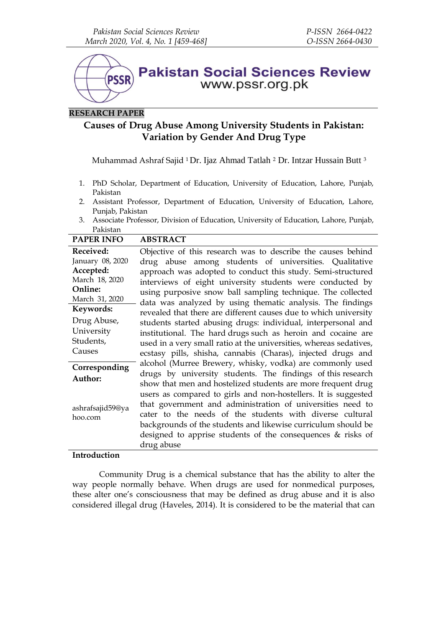

# **RESEARCH PAPER**

# **Causes of Drug Abuse Among University Students in Pakistan: Variation by Gender And Drug Type**

Muhammad Ashraf Sajid <sup>1</sup> Dr. Ijaz Ahmad Tatlah <sup>2</sup> Dr. Intzar Hussain Butt <sup>3</sup>

- 1. PhD Scholar, Department of Education, University of Education, Lahore, Punjab, Pakistan
- 2. Assistant Professor, Department of Education, University of Education, Lahore, Punjab, Pakistan
- 3. Associate Professor, Division of Education, University of Education, Lahore, Punjab, Pakistan

| <b>PAPER INFO</b>                                                                         | <b>ABSTRACT</b>                                                                                                                                                                                                                                                                                                                                                                                                                                                                                                                     |
|-------------------------------------------------------------------------------------------|-------------------------------------------------------------------------------------------------------------------------------------------------------------------------------------------------------------------------------------------------------------------------------------------------------------------------------------------------------------------------------------------------------------------------------------------------------------------------------------------------------------------------------------|
| Received:<br>January 08, 2020<br>Accepted:<br>March 18, 2020<br><b>Online:</b>            | Objective of this research was to describe the causes behind<br>drug abuse among students of universities. Qualitative<br>approach was adopted to conduct this study. Semi-structured<br>interviews of eight university students were conducted by<br>using purposive snow ball sampling technique. The collected                                                                                                                                                                                                                   |
| March 31, 2020                                                                            | data was analyzed by using thematic analysis. The findings                                                                                                                                                                                                                                                                                                                                                                                                                                                                          |
| Keywords:<br>Drug Abuse,<br>University<br>Students,<br>Causes<br>Corresponding<br>Author: | revealed that there are different causes due to which university<br>students started abusing drugs: individual, interpersonal and<br>institutional. The hard drugs such as heroin and cocaine are<br>used in a very small ratio at the universities, whereas sedatives,<br>ecstasy pills, shisha, cannabis (Charas), injected drugs and<br>alcohol (Murree Brewery, whisky, vodka) are commonly used<br>drugs by university students. The findings of this research<br>show that men and hostelized students are more frequent drug |
| ashrafsajid59@ya<br>hoo.com                                                               | users as compared to girls and non-hostellers. It is suggested<br>that government and administration of universities need to<br>cater to the needs of the students with diverse cultural<br>backgrounds of the students and likewise curriculum should be<br>designed to apprise students of the consequences $\&$ risks of<br>drug abuse                                                                                                                                                                                           |

# **Introduction**

Community Drug is a chemical substance that has the ability to alter the way people normally behave. When drugs are used for nonmedical purposes, these alter one's consciousness that may be defined as drug abuse and it is also considered illegal drug (Haveles, 2014). It is considered to be the material that can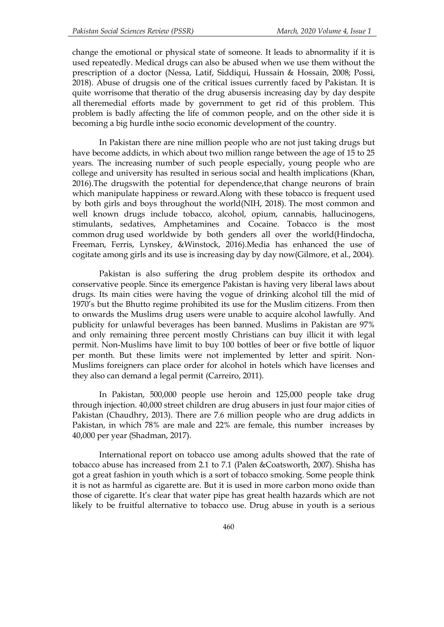change the emotional or physical state of someone. It leads to abnormality if it is used repeatedly. Medical drugs can also be abused when we use them without the prescription of a doctor (Nessa, Latif, Siddiqui, Hussain & Hossain, 2008; Possi, 2018). Abuse of drugsis one of the critical issues currently faced by Pakistan. It is quite worrisome that theratio of the drug abusersis increasing day by day despite all theremedial efforts made by government to get rid of this problem. This problem is badly affecting the life of common people, and on the other side it is becoming a big hurdle inthe socio economic development of the country.

In Pakistan there are nine million people who are not just taking drugs but have become addicts, in which about two million range between the age of 15 to 25 years. The increasing number of such people especially, young people who are college and university has resulted in serious social and health implications (Khan, 2016).The drugswith the potential for dependence,that change neurons of brain which manipulate happiness or reward.Along with these tobacco is frequent used by both girls and boys throughout the world(NIH, 2018). The most common and well known drugs include tobacco, alcohol, opium, cannabis, hallucinogens, stimulants, sedatives, Amphetamines and Cocaine. Tobacco is the most common drug used worldwide by both genders all over the world(Hindocha, Freeman, Ferris, Lynskey, &Winstock, 2016).Media has enhanced the use of cogitate among girls and its use is increasing day by day now(Gilmore, et al., 2004).

Pakistan is also suffering the drug problem despite its orthodox and conservative people. Since its emergence Pakistan is having very liberal laws about drugs. Its main cities were having the vogue of drinking alcohol till the mid of 1970's but the Bhutto regime prohibited its use for the Muslim citizens. From then to onwards the Muslims drug users were unable to acquire alcohol lawfully. And publicity for unlawful beverages has been banned. Muslims in Pakistan are 97% and only remaining three percent mostly Christians can buy illicit it with legal permit. Non-Muslims have limit to buy 100 bottles of beer or five bottle of liquor per month. But these limits were not implemented by letter and spirit. Non-Muslims foreigners can place order for alcohol in hotels which have licenses and they also can demand a legal permit (Carreiro, 2011).

In Pakistan, 500,000 people use heroin and 125,000 people take drug through injection. 40,000 street children are drug abusers in just four major cities of Pakistan (Chaudhry, 2013). There are 7.6 million people who are drug addicts in Pakistan, in which 78% are male and 22% are female, this number increases by 40,000 per year (Shadman, 2017).

International report on tobacco use among adults showed that the rate of tobacco abuse has increased from 2.1 to 7.1 (Palen &Coatsworth, 2007). Shisha has got a great fashion in youth which is a sort of tobacco smoking. Some people think it is not as harmful as cigarette are. But it is used in more carbon mono oxide than those of cigarette. It's clear that water pipe has great health hazards which are not likely to be fruitful alternative to tobacco use. Drug abuse in youth is a serious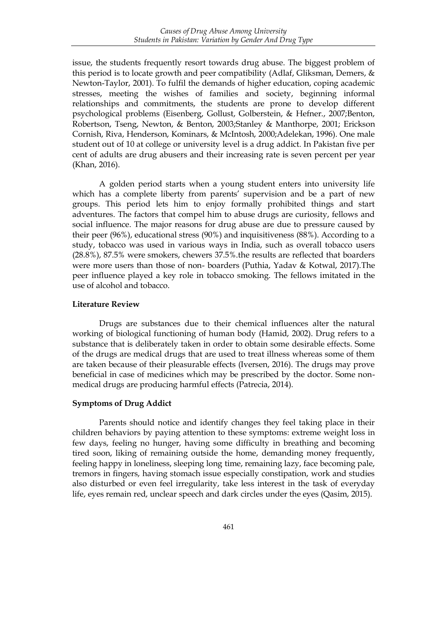issue, the students frequently resort towards drug abuse. The biggest problem of this period is to locate growth and peer compatibility (Adlaf, Gliksman, Demers, & Newton-Taylor, 2001). To fulfil the demands of higher education, coping academic stresses, meeting the wishes of families and society, beginning informal relationships and commitments, the students are prone to develop different psychological problems (Eisenberg, Gollust, Golberstein, & Hefner., 2007;Benton, Robertson, Tseng, Newton, & Benton, 2003;Stanley & Manthorpe, 2001; Erickson Cornish, Riva, Henderson, Kominars, & McIntosh, 2000;Adelekan, 1996). One male student out of 10 at college or university level is a drug addict. In Pakistan five per cent of adults are drug abusers and their increasing rate is seven percent per year (Khan, 2016).

A golden period starts when a young student enters into university life which has a complete liberty from parents' supervision and be a part of new groups. This period lets him to enjoy formally prohibited things and start adventures. The factors that compel him to abuse drugs are curiosity, fellows and social influence. The major reasons for drug abuse are due to pressure caused by their peer (96%), educational stress (90%) and inquisitiveness (88%). According to a study, tobacco was used in various ways in India, such as overall tobacco users (28.8%), 87.5% were smokers, chewers 37.5%.the results are reflected that boarders were more users than those of non- boarders (Puthia, Yadav & Kotwal, 2017).The peer influence played a key role in tobacco smoking. The fellows imitated in the use of alcohol and tobacco.

#### **Literature Review**

Drugs are substances due to their chemical influences alter the natural working of biological functioning of human body (Hamid, 2002). Drug refers to a substance that is deliberately taken in order to obtain some desirable effects. Some of the drugs are medical drugs that are used to treat illness whereas some of them are taken because of their pleasurable effects (Iversen, 2016). The drugs may prove beneficial in case of medicines which may be prescribed by the doctor. Some nonmedical drugs are producing harmful effects (Patrecia, 2014).

# **Symptoms of Drug Addict**

Parents should notice and identify changes they feel taking place in their children behaviors by paying attention to these symptoms: extreme weight loss in few days, feeling no hunger, having some difficulty in breathing and becoming tired soon, liking of remaining outside the home, demanding money frequently, feeling happy in loneliness, sleeping long time, remaining lazy, face becoming pale, tremors in fingers, having stomach issue especially constipation, work and studies also disturbed or even feel irregularity, take less interest in the task of everyday life, eyes remain red, unclear speech and dark circles under the eyes (Qasim, 2015).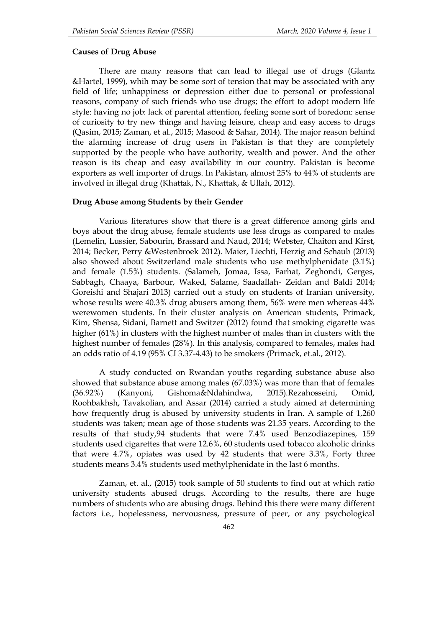## **Causes of Drug Abuse**

There are many reasons that can lead to illegal use of drugs (Glantz &Hartel, 1999), whih may be some sort of tension that may be associated with any field of life; unhappiness or depression either due to personal or professional reasons, company of such friends who use drugs; the effort to adopt modern life style: having no job: lack of parental attention, feeling some sort of boredom: sense of curiosity to try new things and having leisure, cheap and easy access to drugs (Qasim, 2015; Zaman, et al., 2015; Masood & Sahar, 2014). The major reason behind the alarming increase of drug users in Pakistan is that they are completely supported by the people who have authority, wealth and power. And the other reason is its cheap and easy availability in our country. Pakistan is become exporters as well importer of drugs. In Pakistan, almost 25% to 44% of students are involved in illegal drug (Khattak, N., Khattak, & Ullah, 2012).

#### **Drug Abuse among Students by their Gender**

Various literatures show that there is a great difference among girls and boys about the drug abuse, female students use less drugs as compared to males (Lemelin, Lussier, Sabourin, Brassard and Naud, 2014; Webster, Chaiton and Kirst, 2014; Becker, Perry &Westenbroek 2012). Maier, Liechti, Herzig and Schaub (2013) also showed about Switzerland male students who use methylphenidate (3.1%) and female (1.5%) students. (Salameh, Jomaa, Issa, Farhat, Zeghondi, Gerges, Sabbagh, Chaaya, Barbour, Waked, Salame, Saadallah- Zeidan and Baldi 2014; Goreishi and Shajari 2013) carried out a study on students of Iranian university, whose results were 40.3% drug abusers among them, 56% were men whereas 44% werewomen students. In their cluster analysis on American students, Primack, Kim, Shensa, Sidani, Barnett and Switzer (2012) found that smoking cigarette was higher (61%) in clusters with the highest number of males than in clusters with the highest number of females (28%). In this analysis, compared to females, males had an odds ratio of 4.19 (95% CI 3.37-4.43) to be smokers (Primack, et.al., 2012).

A study conducted on Rwandan youths regarding substance abuse also showed that substance abuse among males (67.03%) was more than that of females (36.92%) (Kanyoni, Gishoma&Ndahindwa, 2015).Rezahosseini, Omid, Roohbakhsh, Tavakolian, and Assar (2014) carried a study aimed at determining how frequently drug is abused by university students in Iran. A sample of 1,260 students was taken; mean age of those students was 21.35 years. According to the results of that study,94 students that were 7.4% used Benzodiazepines, 159 students used cigarettes that were 12.6%, 60 students used tobacco alcoholic drinks that were 4.7%, opiates was used by 42 students that were 3.3%, Forty three students means 3.4% students used methylphenidate in the last 6 months.

Zaman, et. al., (2015) took sample of 50 students to find out at which ratio university students abused drugs. According to the results, there are huge numbers of students who are abusing drugs. Behind this there were many different factors i.e., hopelessness, nervousness, pressure of peer, or any psychological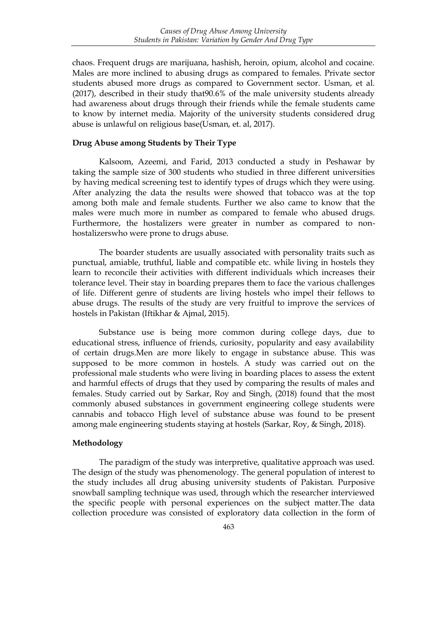chaos. Frequent drugs are marijuana, hashish, heroin, opium, alcohol and cocaine. Males are more inclined to abusing drugs as compared to females. Private sector students abused more drugs as compared to Government sector. Usman, et al. (2017), described in their study that90.6% of the male university students already had awareness about drugs through their friends while the female students came to know by internet media. Majority of the university students considered drug abuse is unlawful on religious base(Usman, et. al, 2017).

# **Drug Abuse among Students by Their Type**

Kalsoom, Azeemi, and Farid, 2013 conducted a study in Peshawar by taking the sample size of 300 students who studied in three different universities by having medical screening test to identify types of drugs which they were using. After analyzing the data the results were showed that tobacco was at the top among both male and female students. Further we also came to know that the males were much more in number as compared to female who abused drugs. Furthermore, the hostalizers were greater in number as compared to nonhostalizerswho were prone to drugs abuse.

The boarder students are usually associated with personality traits such as punctual, amiable, truthful, liable and compatible etc. while living in hostels they learn to reconcile their activities with different individuals which increases their tolerance level. Their stay in boarding prepares them to face the various challenges of life. Different genre of students are living hostels who impel their fellows to abuse drugs. The results of the study are very fruitful to improve the services of hostels in Pakistan (Iftikhar & Ajmal, 2015).

Substance use is being more common during college days, due to educational stress, influence of friends, curiosity, popularity and easy availability of certain drugs.Men are more likely to engage in substance abuse. This was supposed to be more common in hostels. A study was carried out on the professional male students who were living in boarding places to assess the extent and harmful effects of drugs that they used by comparing the results of males and females. Study carried out by Sarkar, Roy and Singh, (2018) found that the most commonly abused substances in government engineering college students were cannabis and tobacco High level of substance abuse was found to be present among male engineering students staying at hostels (Sarkar, Roy, & Singh, 2018).

## **Methodology**

The paradigm of the study was interpretive, qualitative approach was used. The design of the study was phenomenology. The general population of interest to the study includes all drug abusing university students of Pakistan. Purposive snowball sampling technique was used, through which the researcher interviewed the specific people with personal experiences on the subject matter.The data collection procedure was consisted of exploratory data collection in the form of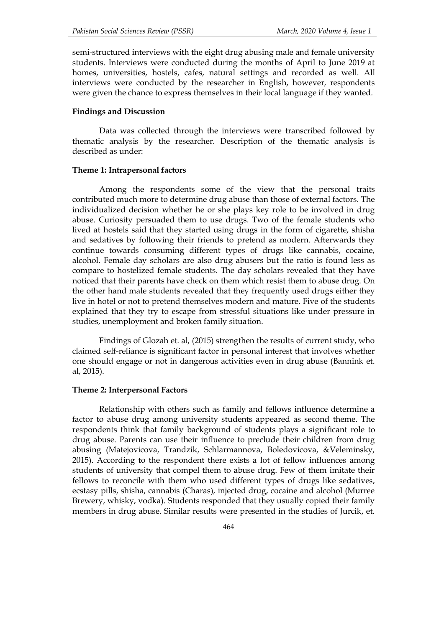semi-structured interviews with the eight drug abusing male and female university students. Interviews were conducted during the months of April to June 2019 at homes, universities, hostels, cafes, natural settings and recorded as well. All interviews were conducted by the researcher in English, however, respondents were given the chance to express themselves in their local language if they wanted.

## **Findings and Discussion**

Data was collected through the interviews were transcribed followed by thematic analysis by the researcher. Description of the thematic analysis is described as under:

#### **Theme 1: Intrapersonal factors**

Among the respondents some of the view that the personal traits contributed much more to determine drug abuse than those of external factors. The individualized decision whether he or she plays key role to be involved in drug abuse. Curiosity persuaded them to use drugs. Two of the female students who lived at hostels said that they started using drugs in the form of cigarette, shisha and sedatives by following their friends to pretend as modern. Afterwards they continue towards consuming different types of drugs like cannabis, cocaine, alcohol. Female day scholars are also drug abusers but the ratio is found less as compare to hostelized female students. The day scholars revealed that they have noticed that their parents have check on them which resist them to abuse drug. On the other hand male students revealed that they frequently used drugs either they live in hotel or not to pretend themselves modern and mature. Five of the students explained that they try to escape from stressful situations like under pressure in studies, unemployment and broken family situation.

Findings of Glozah et. al, (2015) strengthen the results of current study, who claimed self-reliance is significant factor in personal interest that involves whether one should engage or not in dangerous activities even in drug abuse (Bannink et. al, 2015).

## **Theme 2: Interpersonal Factors**

Relationship with others such as family and fellows influence determine a factor to abuse drug among university students appeared as second theme. The respondents think that family background of students plays a significant role to drug abuse. Parents can use their influence to preclude their children from drug abusing (Matejovicova, Trandzik, Schlarmannova, Boledovicova, &Veleminsky, 2015). According to the respondent there exists a lot of fellow influences among students of university that compel them to abuse drug. Few of them imitate their fellows to reconcile with them who used different types of drugs like sedatives, ecstasy pills, shisha, cannabis (Charas), injected drug, cocaine and alcohol (Murree Brewery, whisky, vodka). Students responded that they usually copied their family members in drug abuse. Similar results were presented in the studies of Jurcik, et.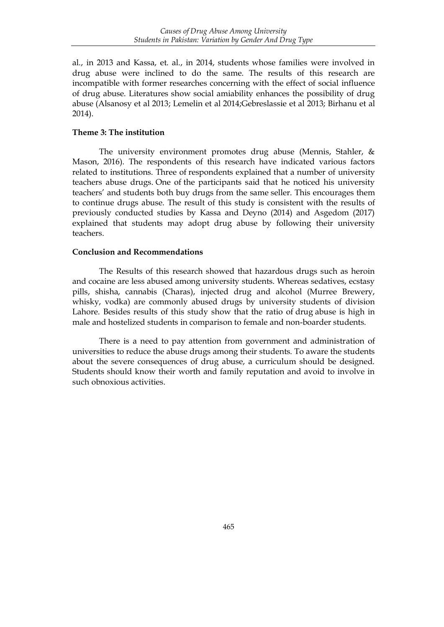al., in 2013 and Kassa, et. al., in 2014, students whose families were involved in drug abuse were inclined to do the same. The results of this research are incompatible with former researches concerning with the effect of social influence of drug abuse. Literatures show social amiability enhances the possibility of drug abuse (Alsanosy et al 2013; Lemelin et al 2014;Gebreslassie et al 2013; Birhanu et al 2014).

# **Theme 3: The institution**

The university environment promotes drug abuse (Mennis, Stahler, & Mason, 2016). The respondents of this research have indicated various factors related to institutions. Three of respondents explained that a number of university teachers abuse drugs. One of the participants said that he noticed his university teachers' and students both buy drugs from the same seller. This encourages them to continue drugs abuse. The result of this study is consistent with the results of previously conducted studies by Kassa and Deyno (2014) and Asgedom (2017) explained that students may adopt drug abuse by following their university teachers.

# **Conclusion and Recommendations**

The Results of this research showed that hazardous drugs such as heroin and cocaine are less abused among university students. Whereas sedatives, ecstasy pills, shisha, cannabis (Charas), injected drug and alcohol (Murree Brewery, whisky, vodka) are commonly abused drugs by university students of division Lahore. Besides results of this study show that the ratio of drug abuse is high in male and hostelized students in comparison to female and non-boarder students.

There is a need to pay attention from government and administration of universities to reduce the abuse drugs among their students. To aware the students about the severe consequences of drug abuse, a curriculum should be designed. Students should know their worth and family reputation and avoid to involve in such obnoxious activities.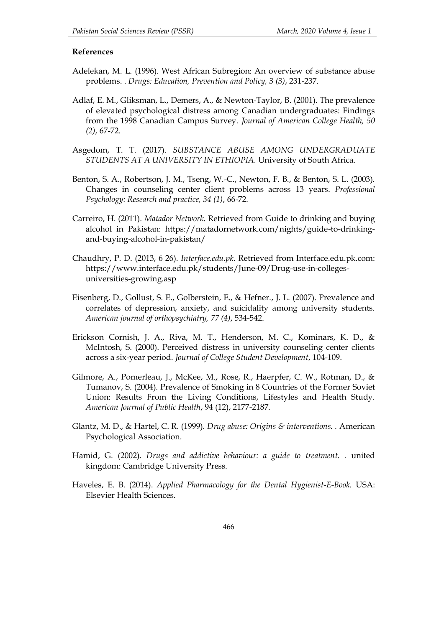## **References**

- Adelekan, M. L. (1996). West African Subregion: An overview of substance abuse problems. . *Drugs: Education, Prevention and Policy, 3 (3)*, 231-237.
- Adlaf, E. M., Gliksman, L., Demers, A., & Newton-Taylor, B. (2001). The prevalence of elevated psychological distress among Canadian undergraduates: Findings from the 1998 Canadian Campus Survey. *Journal of American College Health, 50 (2)*, 67-72.
- Asgedom, T. T. (2017). *SUBSTANCE ABUSE AMONG UNDERGRADUATE STUDENTS AT A UNIVERSITY IN ETHIOPIA.* University of South Africa.
- Benton, S. A., Robertson, J. M., Tseng, W.-C., Newton, F. B., & Benton, S. L. (2003). Changes in counseling center client problems across 13 years. *Professional Psychology: Research and practice, 34 (1)*, 66-72.
- Carreiro, H. (2011). *Matador Network.* Retrieved from Guide to drinking and buying alcohol in Pakistan: https://matadornetwork.com/nights/guide-to-drinkingand-buying-alcohol-in-pakistan/
- Chaudhry, P. D. (2013, 6 26). *Interface.edu.pk.* Retrieved from Interface.edu.pk.com: https://www.interface.edu.pk/students/June-09/Drug-use-in-collegesuniversities-growing.asp
- Eisenberg, D., Gollust, S. E., Golberstein, E., & Hefner., J. L. (2007). Prevalence and correlates of depression, anxiety, and suicidality among university students. *American journal of orthopsychiatry, 77 (4)*, 534-542.
- Erickson Cornish, J. A., Riva, M. T., Henderson, M. C., Kominars, K. D., & McIntosh, S. (2000). Perceived distress in university counseling center clients across a six-year period. *Journal of College Student Development*, 104-109.
- Gilmore, A., Pomerleau, J., McKee, M., Rose, R., Haerpfer, C. W., Rotman, D., & Tumanov, S. (2004). Prevalence of Smoking in 8 Countries of the Former Soviet Union: Results From the Living Conditions, Lifestyles and Health Study. *American Journal of Public Health*, 94 (12), 2177-2187.
- Glantz, M. D., & Hartel, C. R. (1999). *Drug abuse: Origins & interventions. .* American Psychological Association.
- Hamid, G. (2002). *Drugs and addictive behaviour: a guide to treatment. .* united kingdom: Cambridge University Press.
- Haveles, E. B. (2014). *Applied Pharmacology for the Dental Hygienist-E-Book.* USA: Elsevier Health Sciences.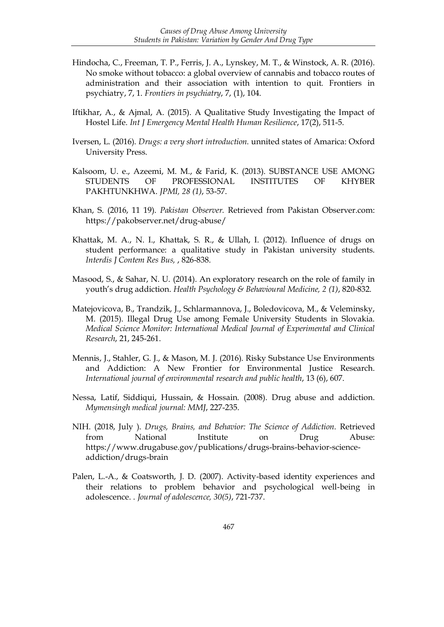- Hindocha, C., Freeman, T. P., Ferris, J. A., Lynskey, M. T., & Winstock, A. R. (2016). No smoke without tobacco: a global overview of cannabis and tobacco routes of administration and their association with intention to quit. Frontiers in psychiatry, 7, 1. *Frontiers in psychiatry*, 7, (1), 104.
- Iftikhar, A., & Ajmal, A. (2015). A Qualitative Study Investigating the Impact of Hostel Life. *Int J Emergency Mental Health Human Resilience*, 17(2), 511-5.
- Iversen, L. (2016). *Drugs: a very short introduction.* unnited states of Amarica: Oxford University Press.
- Kalsoom, U. e., Azeemi, M. M., & Farid, K. (2013). SUBSTANCE USE AMONG STUDENTS OF PROFESSIONAL INSTITUTES OF KHYBER PAKHTUNKHWA. *JPMI, 28 (1)*, 53-57.
- Khan, S. (2016, 11 19). *Pakistan Observer.* Retrieved from Pakistan Observer.com: https://pakobserver.net/drug-abuse/
- Khattak, M. A., N. I., Khattak, S. R., & Ullah, I. (2012). Influence of drugs on student performance: a qualitative study in Pakistan university students. *Interdis J Contem Res Bus,* , 826-838.
- Masood, S., & Sahar, N. U. (2014). An exploratory research on the role of family in youth's drug addiction. *Health Psychology & Behavioural Medicine, 2 (1)*, 820-832.
- Matejovicova, B., Trandzik, J., Schlarmannova, J., Boledovicova, M., & Veleminsky, M. (2015). Illegal Drug Use among Female University Students in Slovakia. *Medical Science Monitor: International Medical Journal of Experimental and Clinical Research*, 21, 245-261.
- Mennis, J., Stahler, G. J., & Mason, M. J. (2016). Risky Substance Use Environments and Addiction: A New Frontier for Environmental Justice Research. *International journal of environmental research and public health*, 13 (6), 607.
- Nessa, Latif, Siddiqui, Hussain, & Hossain. (2008). Drug abuse and addiction. *Mymensingh medical journal: MMJ*, 227-235.
- NIH. (2018, July ). *Drugs, Brains, and Behavior: The Science of Addiction.* Retrieved from National Institute on Drug Abuse: https://www.drugabuse.gov/publications/drugs-brains-behavior-scienceaddiction/drugs-brain
- Palen, L.-A., & Coatsworth, J. D. (2007). Activity-based identity experiences and their relations to problem behavior and psychological well-being in adolescence. . *Journal of adolescence, 30(5)*, 721-737.